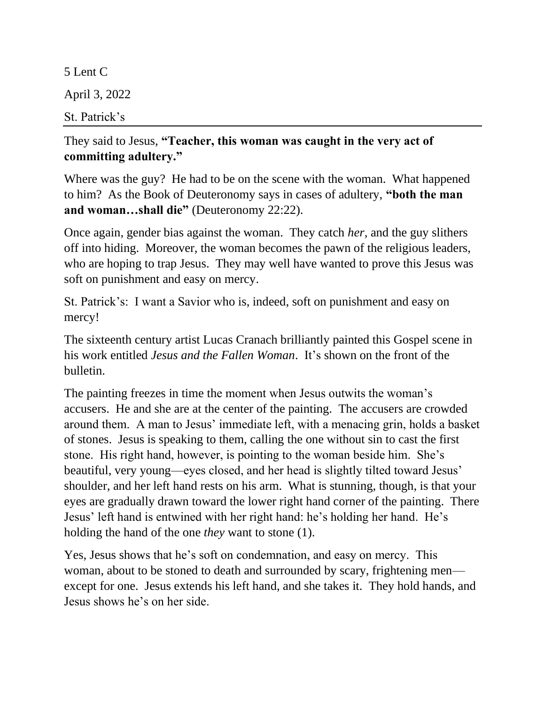5 Lent C April 3, 2022 St. Patrick's

## They said to Jesus, **"Teacher, this woman was caught in the very act of committing adultery."**

Where was the guy? He had to be on the scene with the woman. What happened to him? As the Book of Deuteronomy says in cases of adultery, **"both the man and woman…shall die"** (Deuteronomy 22:22).

Once again, gender bias against the woman. They catch *her*, and the guy slithers off into hiding. Moreover, the woman becomes the pawn of the religious leaders, who are hoping to trap Jesus. They may well have wanted to prove this Jesus was soft on punishment and easy on mercy.

St. Patrick's: I want a Savior who is, indeed, soft on punishment and easy on mercy!

The sixteenth century artist Lucas Cranach brilliantly painted this Gospel scene in his work entitled *Jesus and the Fallen Woman*. It's shown on the front of the bulletin.

The painting freezes in time the moment when Jesus outwits the woman's accusers. He and she are at the center of the painting. The accusers are crowded around them. A man to Jesus' immediate left, with a menacing grin, holds a basket of stones. Jesus is speaking to them, calling the one without sin to cast the first stone. His right hand, however, is pointing to the woman beside him. She's beautiful, very young—eyes closed, and her head is slightly tilted toward Jesus' shoulder, and her left hand rests on his arm. What is stunning, though, is that your eyes are gradually drawn toward the lower right hand corner of the painting. There Jesus' left hand is entwined with her right hand: he's holding her hand. He's holding the hand of the one *they* want to stone (1).

Yes, Jesus shows that he's soft on condemnation, and easy on mercy. This woman, about to be stoned to death and surrounded by scary, frightening men except for one. Jesus extends his left hand, and she takes it. They hold hands, and Jesus shows he's on her side.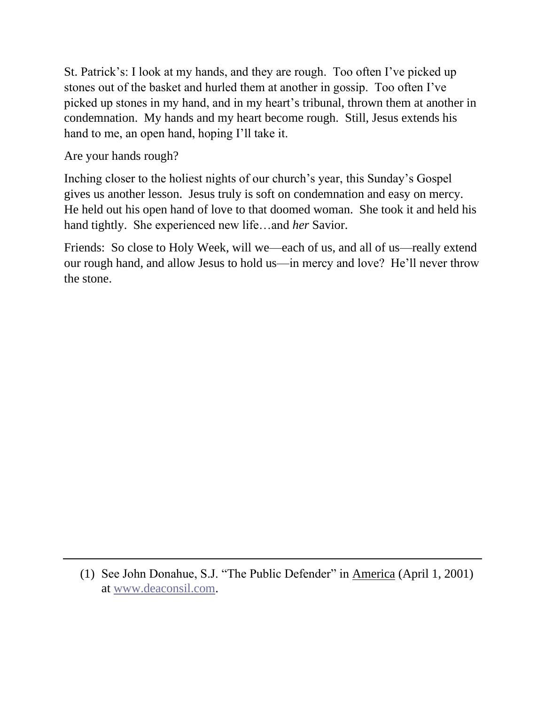St. Patrick's: I look at my hands, and they are rough. Too often I've picked up stones out of the basket and hurled them at another in gossip. Too often I've picked up stones in my hand, and in my heart's tribunal, thrown them at another in condemnation. My hands and my heart become rough. Still, Jesus extends his hand to me, an open hand, hoping I'll take it.

Are your hands rough?

Inching closer to the holiest nights of our church's year, this Sunday's Gospel gives us another lesson. Jesus truly is soft on condemnation and easy on mercy. He held out his open hand of love to that doomed woman. She took it and held his hand tightly. She experienced new life…and *her* Savior.

Friends: So close to Holy Week, will we—each of us, and all of us—really extend our rough hand, and allow Jesus to hold us—in mercy and love? He'll never throw the stone.

<sup>(1)</sup> See John Donahue, S.J. "The Public Defender" in America (April 1, 2001) at [www.deaconsil.com.](http://www.deaconsil.com/)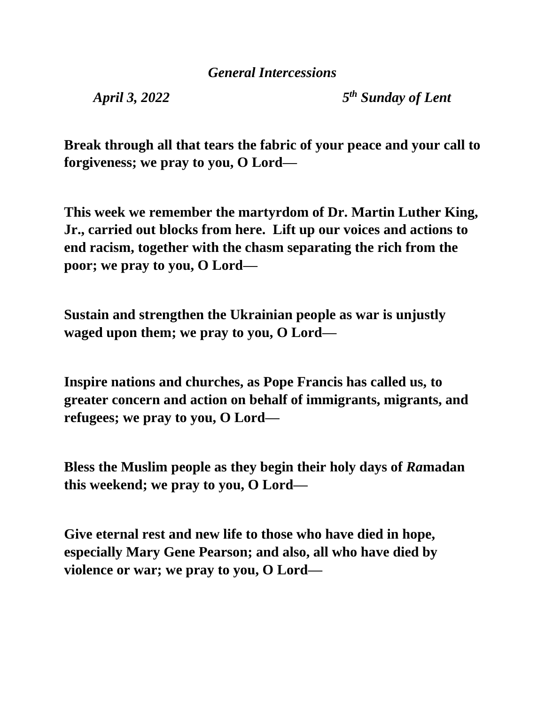*April 3, 2022* 

*th Sunday of Lent*

**Break through all that tears the fabric of your peace and your call to forgiveness; we pray to you, O Lord—**

**This week we remember the martyrdom of Dr. Martin Luther King, Jr., carried out blocks from here. Lift up our voices and actions to end racism, together with the chasm separating the rich from the poor; we pray to you, O Lord—**

**Sustain and strengthen the Ukrainian people as war is unjustly waged upon them; we pray to you, O Lord—**

**Inspire nations and churches, as Pope Francis has called us, to greater concern and action on behalf of immigrants, migrants, and refugees; we pray to you, O Lord—**

**Bless the Muslim people as they begin their holy days of** *Ra***madan this weekend; we pray to you, O Lord—**

**Give eternal rest and new life to those who have died in hope, especially Mary Gene Pearson; and also, all who have died by violence or war; we pray to you, O Lord—**